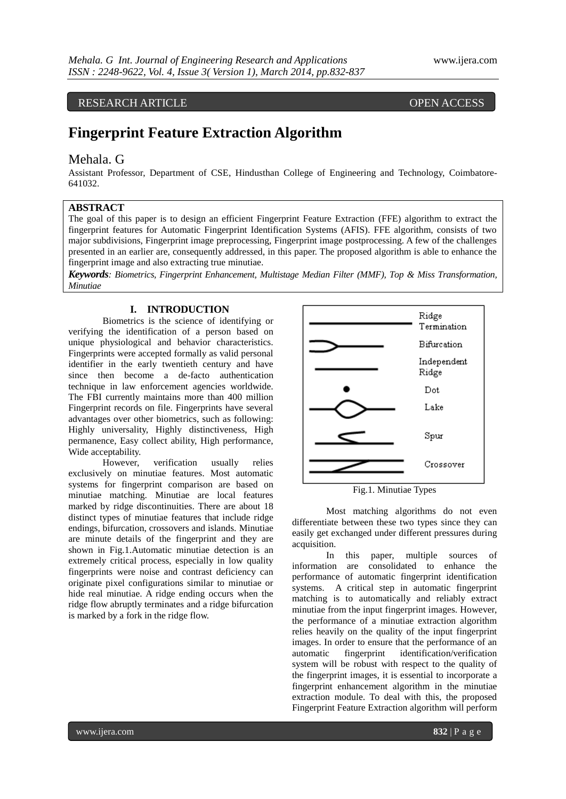## RESEARCH ARTICLE OPEN ACCESS

# **Fingerprint Feature Extraction Algorithm**

#### Mehala. G

Assistant Professor, Department of CSE, Hindusthan College of Engineering and Technology, Coimbatore-641032.

#### **ABSTRACT**

The goal of this paper is to design an efficient Fingerprint Feature Extraction (FFE) algorithm to extract the fingerprint features for Automatic Fingerprint Identification Systems (AFIS). FFE algorithm, consists of two major subdivisions, Fingerprint image preprocessing, Fingerprint image postprocessing. A few of the challenges presented in an earlier are, consequently addressed, in this paper. The proposed algorithm is able to enhance the fingerprint image and also extracting true minutiae.

*Keywords: Biometrics, Fingerprint Enhancement, Multistage Median Filter (MMF), Top & Miss Transformation, Minutiae*

#### **I. INTRODUCTION**

Biometrics is the science of identifying or verifying the identification of a person based on unique physiological and behavior characteristics. Fingerprints were accepted formally as valid personal identifier in the early twentieth century and have since then become a de-facto authentication technique in law enforcement agencies worldwide. The FBI currently maintains more than 400 million Fingerprint records on file. Fingerprints have several advantages over other biometrics, such as following: Highly universality, Highly distinctiveness, High permanence, Easy collect ability, High performance, Wide acceptability.

However, verification usually relies exclusively on minutiae features. Most automatic systems for fingerprint comparison are based on minutiae matching. Minutiae are local features marked by ridge discontinuities. There are about 18 distinct types of minutiae features that include ridge endings, bifurcation, crossovers and islands. Minutiae are minute details of the fingerprint and they are shown in Fig.1.Automatic minutiae detection is an extremely critical process, especially in low quality fingerprints were noise and contrast deficiency can originate pixel configurations similar to minutiae or hide real minutiae. A ridge ending occurs when the ridge flow abruptly terminates and a ridge bifurcation is marked by a fork in the ridge flow.



Fig.1. Minutiae Types

Most matching algorithms do not even differentiate between these two types since they can easily get exchanged under different pressures during acquisition.

In this paper, multiple sources of information are consolidated to enhance the performance of automatic fingerprint identification systems. A critical step in automatic fingerprint matching is to automatically and reliably extract minutiae from the input fingerprint images. However, the performance of a minutiae extraction algorithm relies heavily on the quality of the input fingerprint images. In order to ensure that the performance of an automatic fingerprint identification/verification system will be robust with respect to the quality of the fingerprint images, it is essential to incorporate a fingerprint enhancement algorithm in the minutiae extraction module. To deal with this, the proposed Fingerprint Feature Extraction algorithm will perform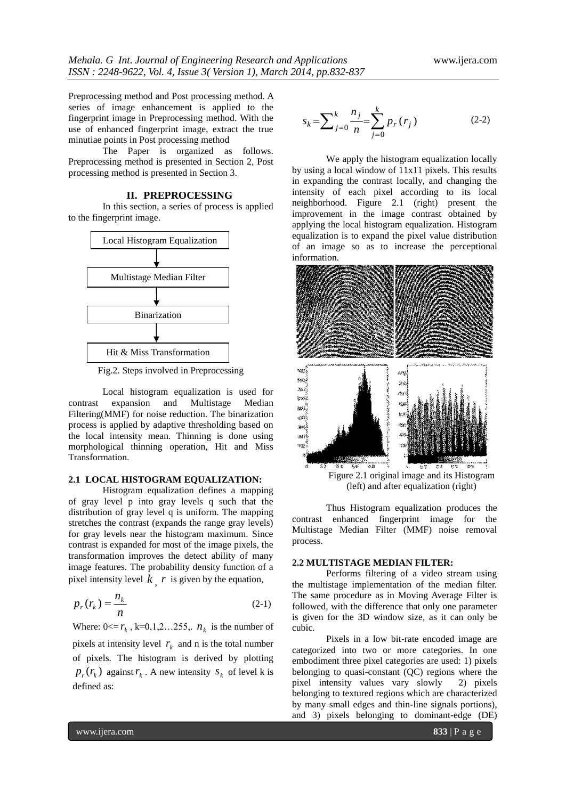Preprocessing method and Post processing method. A series of image enhancement is applied to the fingerprint image in Preprocessing method. With the use of enhanced fingerprint image, extract the true minutiae points in Post processing method

The Paper is organized as follows. Preprocessing method is presented in Section 2, Post processing method is presented in Section 3.

#### **II. PREPROCESSING**

In this section, a series of process is applied to the fingerprint image.



Fig.2. Steps involved in Preprocessing

Local histogram equalization is used for contrast expansion and Multistage Median Filtering(MMF) for noise reduction. The binarization process is applied by adaptive thresholding based on the local intensity mean. Thinning is done using morphological thinning operation, Hit and Miss Transformation.

#### **2.1 LOCAL HISTOGRAM EQUALIZATION:**

Histogram equalization defines a mapping of gray level p into gray levels q such that the distribution of gray level q is uniform. The mapping stretches the contrast (expands the range gray levels) for gray levels near the histogram maximum. Since contrast is expanded for most of the image pixels, the transformation improves the detect ability of many image features. The probability density function of a pixel intensity level  $k$ ,  $r$  is given by the equation,

$$
p_r(r_k) = \frac{n_k}{n}
$$
 (2-1)

Where:  $0 \le r_k$ ,  $k=0,1,2...255$ ,  $n_k$  is the number of pixels at intensity level  $r_k$  and n is the total number of pixels. The histogram is derived by plotting  $p_r(r_k)$  against  $r_k$ . A new intensity  $s_k$  of level k is defined as:

$$
s_k = \sum_{j=0}^k \frac{n_j}{n} = \sum_{j=0}^k p_r(r_j)
$$
 (2-2)

We apply the histogram equalization locally by using a local window of 11x11 pixels. This results in expanding the contrast locally, and changing the intensity of each pixel according to its local neighborhood. Figure 2.1 (right) present the improvement in the image contrast obtained by applying the local histogram equalization. Histogram equalization is to expand the pixel value distribution of an image so as to increase the perceptional information.



Thus Histogram equalization produces the contrast enhanced fingerprint image for the Multistage Median Filter (MMF) noise removal process.

### **2.2 MULTISTAGE MEDIAN FILTER:**

Performs filtering of a video stream using the multistage implementation of the median filter. The same procedure as in Moving Average Filter is followed, with the difference that only one parameter is given for the 3D window size, as it can only be cubic.

Pixels in a low bit-rate encoded image are categorized into two or more categories. In one embodiment three pixel categories are used: 1) pixels belonging to quasi-constant (QC) regions where the pixel intensity values vary slowly 2) pixels belonging to textured regions which are characterized by many small edges and thin-line signals portions), and 3) pixels belonging to dominant-edge (DE)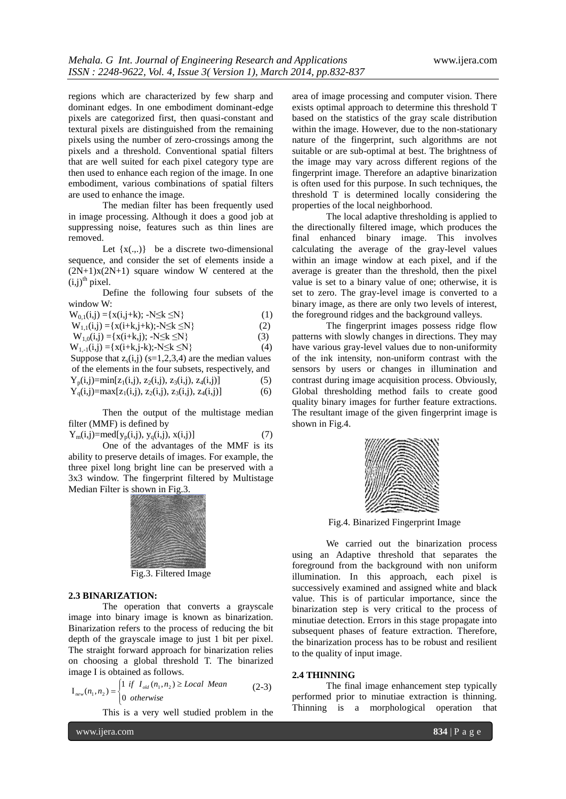regions which are characterized by few sharp and dominant edges. In one embodiment dominant-edge pixels are categorized first, then quasi-constant and textural pixels are distinguished from the remaining pixels using the number of zero-crossings among the pixels and a threshold. Conventional spatial filters that are well suited for each pixel category type are then used to enhance each region of the image. In one embodiment, various combinations of spatial filters are used to enhance the image.

The median filter has been frequently used in image processing. Although it does a good job at suppressing noise, features such as thin lines are removed.

Let  $\{x(.,.)\}$  be a discrete two-dimensional sequence, and consider the set of elements inside a  $(2N+1)x(2N+1)$  square window W centered at the  $(i,j)$ <sup>th</sup> pixel.

Define the following four subsets of the window W:

| $W_{0,1}(i,j) = \{x(i,j+k); -N \le k \le N\}$             | (1) |
|-----------------------------------------------------------|-----|
| $W_{1,1}(i,j) = \{x(i+k,j+k); -N \le k \le N\}$           | (2) |
| $W_{1,0}(i,j) = {x(i+k,j); -N \le k \le N}$               | (3) |
| $W_{1,-1}(i,j) = \{x(i+k,j-k); -N \le k \le N\}$          | (4) |
| Suppose that $z_s(i,j)$ (s=1,2,3,4) are the median values |     |
| of the elements in the four subsets, respectively, and    |     |
| $Y_p(i,j) = min[z_1(i,j), z_2(i,j), z_3(i,j), z_4(i,j)]$  | (5) |
| $Y_q(i,j) = max[z_1(i,j), z_2(i,j), z_3(i,j), z_4(i,j)]$  | (6) |
|                                                           |     |

Then the output of the multistage median filter (MMF) is defined by

 $Y_m(i,j)=\text{med}[y_n(i,j), y_q(i,j), x(i,j)]$  (7) One of the advantages of the MMF is its

ability to preserve details of images. For example, the three pixel long bright line can be preserved with a 3x3 window. The fingerprint filtered by Multistage Median Filter is shown in Fig.3.



Fig.3. Filtered Image

#### **2.3 BINARIZATION:**

The operation that converts a grayscale image into binary image is known as binarization. Binarization refers to the process of reducing the bit depth of the grayscale image to just 1 bit per pixel. The straight forward approach for binarization relies on choosing a global threshold T. The binarized image I is obtained as follows.

$$
I_{new}(n_1, n_2) = \begin{cases} 1 & \text{if } I_{old}(n_1, n_2) \ge Local Mean \\ 0 & otherwise \end{cases}
$$
 (2-3)

This is a very well studied problem in the

www.ijera.com **834** | P a g e

area of image processing and computer vision. There exists optimal approach to determine this threshold T based on the statistics of the gray scale distribution within the image. However, due to the non-stationary nature of the fingerprint, such algorithms are not suitable or are sub-optimal at best. The brightness of the image may vary across different regions of the fingerprint image. Therefore an adaptive binarization is often used for this purpose. In such techniques, the threshold T is determined locally considering the properties of the local neighborhood.

The local adaptive thresholding is applied to the directionally filtered image, which produces the final enhanced binary image. This involves calculating the average of the gray-level values within an image window at each pixel, and if the average is greater than the threshold, then the pixel value is set to a binary value of one; otherwise, it is set to zero. The gray-level image is converted to a binary image, as there are only two levels of interest, the foreground ridges and the background valleys.

The fingerprint images possess ridge flow patterns with slowly changes in directions. They may have various gray-level values due to non-uniformity of the ink intensity, non-uniform contrast with the sensors by users or changes in illumination and contrast during image acquisition process. Obviously, Global thresholding method fails to create good quality binary images for further feature extractions. The resultant image of the given fingerprint image is shown in Fig.4.



Fig.4. Binarized Fingerprint Image

We carried out the binarization process using an Adaptive threshold that separates the foreground from the background with non uniform illumination. In this approach, each pixel is successively examined and assigned white and black value. This is of particular importance, since the binarization step is very critical to the process of minutiae detection. Errors in this stage propagate into subsequent phases of feature extraction. Therefore, the binarization process has to be robust and resilient to the quality of input image.

#### **2.4 THINNING**

The final image enhancement step typically performed prior to minutiae extraction is thinning. Thinning is a morphological operation that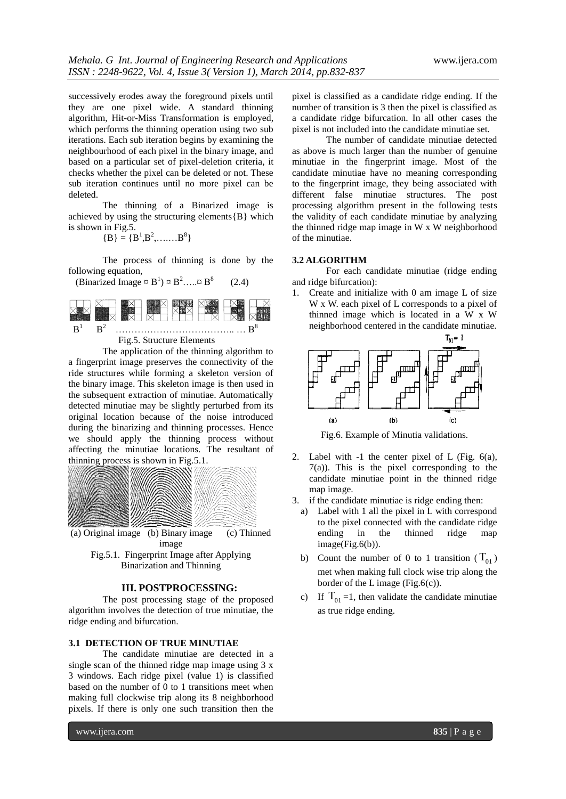successively erodes away the foreground pixels until they are one pixel wide. A standard thinning algorithm, Hit-or-Miss Transformation is employed, which performs the thinning operation using two sub iterations. Each sub iteration begins by examining the neighbourhood of each pixel in the binary image, and based on a particular set of pixel-deletion criteria, it checks whether the pixel can be deleted or not. These sub iteration continues until no more pixel can be deleted.

The thinning of a Binarized image is achieved by using the structuring elements ${B}$  which is shown in Fig.5.

$$
\{B\} = \{B^1, B^2, \dots, B^8\}
$$

The process of thinning is done by the following equation,

(Binarized Image  $\[\mathbb{R}^8\]$   $\[\mathbb{R}^8\]$   $\[\mathbb{R}^8\]$  (2.4)



Fig.5. Structure Elements

The application of the thinning algorithm to a fingerprint image preserves the connectivity of the ride structures while forming a skeleton version of the binary image. This skeleton image is then used in the subsequent extraction of minutiae. Automatically detected minutiae may be slightly perturbed from its original location because of the noise introduced during the binarizing and thinning processes. Hence we should apply the thinning process without affecting the minutiae locations. The resultant of thinning process is shown in Fig.5.1.



image Fig.5.1. Fingerprint Image after Applying Binarization and Thinning

#### **III. POSTPROCESSING:**

The post processing stage of the proposed algorithm involves the detection of true minutiae, the ridge ending and bifurcation.

#### **3.1 DETECTION OF TRUE MINUTIAE**

The candidate minutiae are detected in a single scan of the thinned ridge map image using 3 x 3 windows. Each ridge pixel (value 1) is classified based on the number of 0 to 1 transitions meet when making full clockwise trip along its 8 neighborhood pixels. If there is only one such transition then the

pixel is classified as a candidate ridge ending. If the number of transition is 3 then the pixel is classified as a candidate ridge bifurcation. In all other cases the pixel is not included into the candidate minutiae set.

The number of candidate minutiae detected as above is much larger than the number of genuine minutiae in the fingerprint image. Most of the candidate minutiae have no meaning corresponding to the fingerprint image, they being associated with different false minutiae structures. The post processing algorithm present in the following tests the validity of each candidate minutiae by analyzing the thinned ridge map image in W x W neighborhood of the minutiae.

#### **3.2 ALGORITHM**

For each candidate minutiae (ridge ending and ridge bifurcation):

1. Create and initialize with 0 am image L of size W x W. each pixel of L corresponds to a pixel of thinned image which is located in a W x W neighborhood centered in the candidate minutiae.



Fig.6. Example of Minutia validations.

- 2. Label with -1 the center pixel of L (Fig. 6(a), 7(a)). This is the pixel corresponding to the candidate minutiae point in the thinned ridge map image.
- 3. if the candidate minutiae is ridge ending then:
- a) Label with 1 all the pixel in L with correspond to the pixel connected with the candidate ridge ending in the thinned ridge map image(Fig.6(b)).
- b) Count the number of 0 to 1 transition  $(T_{01})$ met when making full clock wise trip along the border of the L image (Fig.6(c)).
- c) If  $T_{01} = 1$ , then validate the candidate minutiae as true ridge ending.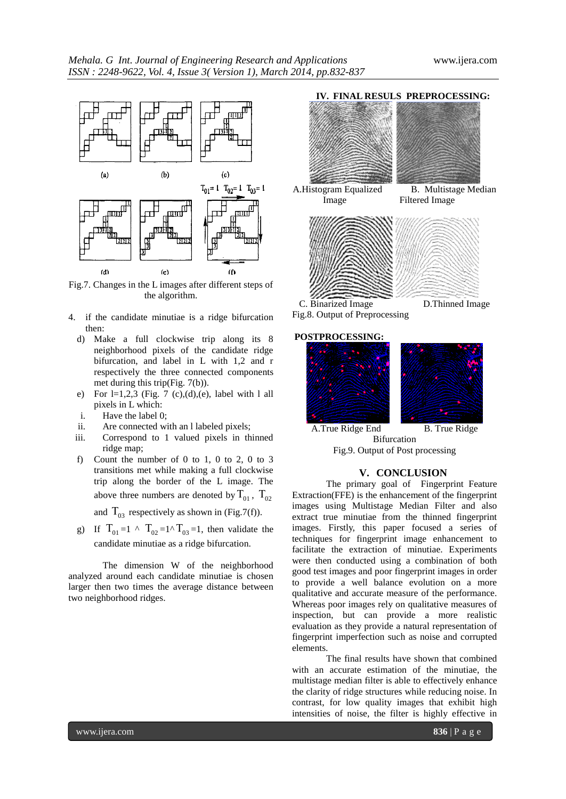



Fig.7. Changes in the L images after different steps of the algorithm.

- 4. if the candidate minutiae is a ridge bifurcation then:
	- d) Make a full clockwise trip along its 8 neighborhood pixels of the candidate ridge bifurcation, and label in L with 1,2 and r respectively the three connected components met during this trip(Fig. 7(b)).
	- e) For  $l=1,2,3$  (Fig. 7 (c),(d),(e), label with 1 all pixels in L which:
	- i. Have the label 0;
	- ii. Are connected with an l labeled pixels;
	- iii. Correspond to 1 valued pixels in thinned ridge map;
	- f) Count the number of 0 to 1, 0 to 2, 0 to 3 transitions met while making a full clockwise trip along the border of the L image. The above three numbers are denoted by  $T_{01}$ ,  $T_{02}$

and  $T_{03}$  respectively as shown in (Fig.7(f)).

g) If  $T_{01} = 1 \wedge T_{02} = 1 \wedge T_{03} = 1$ , then validate the candidate minutiae as a ridge bifurcation.

The dimension W of the neighborhood analyzed around each candidate minutiae is chosen larger then two times the average distance between two neighborhood ridges.



C. Binarized Image D.Thinned Image

Fig.8. Output of Preprocessing

#### **POSTPROCESSING:**





A.True Ridge End B. True Ridge Bifurcation Fig.9. Output of Post processing

#### **V. CONCLUSION**

The primary goal of Fingerprint Feature Extraction(FFE) is the enhancement of the fingerprint images using Multistage Median Filter and also extract true minutiae from the thinned fingerprint images. Firstly, this paper focused a series of techniques for fingerprint image enhancement to facilitate the extraction of minutiae. Experiments were then conducted using a combination of both good test images and poor fingerprint images in order to provide a well balance evolution on a more qualitative and accurate measure of the performance. Whereas poor images rely on qualitative measures of inspection, but can provide a more realistic evaluation as they provide a natural representation of fingerprint imperfection such as noise and corrupted elements.

The final results have shown that combined with an accurate estimation of the minutiae, the multistage median filter is able to effectively enhance the clarity of ridge structures while reducing noise. In contrast, for low quality images that exhibit high intensities of noise, the filter is highly effective in